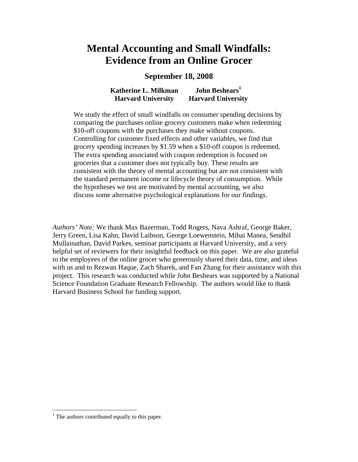# **Mental Accounting and Small Windfalls: Evidence from an Online Grocer**

# **September 18, 2008**

**Katherine L. Milkman Harvard University John Beshears<sup>1</sup> Harvard University** 

We study the effect of small windfalls on consumer spending decisions by comparing the purchases online grocery customers make when redeeming \$10-off coupons with the purchases they make without coupons. Controlling for customer fixed effects and other variables, we find that grocery spending increases by \$1.59 when a \$10-off coupon is redeemed. The extra spending associated with coupon redemption is focused on groceries that a customer does not typically buy. These results are consistent with the theory of mental accounting but are not consistent with the standard permanent income or lifecycle theory of consumption. While the hypotheses we test are motivated by mental accounting, we also discuss some alternative psychological explanations for our findings.

*Authors' Note:* We thank Max Bazerman, Todd Rogers, Nava Ashraf, George Baker, Jerry Green, Lisa Kahn, David Laibson, George Loewenstein, Mihai Manea, Sendhil Mullainathan, David Parkes, seminar participants at Harvard University, and a very helpful set of reviewers for their insightful feedback on this paper. We are also grateful to the employees of the online grocer who generously shared their data, time, and ideas with us and to Rezwan Haque, Zach Sharek, and Fan Zhang for their assistance with this project. This research was conducted while John Beshears was supported by a National Science Foundation Graduate Research Fellowship. The authors would like to thank Harvard Business School for funding support.

<u>.</u>

 $<sup>1</sup>$  The authors contributed equally to this paper.</sup>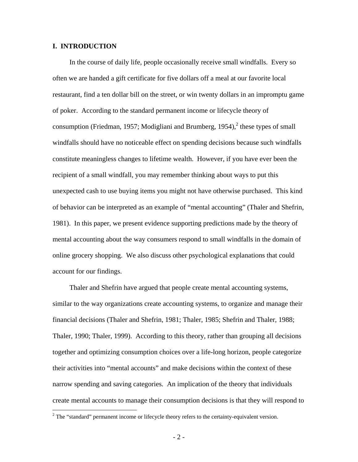## **I. INTRODUCTION**

 $\overline{a}$ 

In the course of daily life, people occasionally receive small windfalls. Every so often we are handed a gift certificate for five dollars off a meal at our favorite local restaurant, find a ten dollar bill on the street, or win twenty dollars in an impromptu game of poker. According to the standard permanent income or lifecycle theory of consumption (Friedman, 1957; Modigliani and Brumberg, 1954), $^2$  these types of small windfalls should have no noticeable effect on spending decisions because such windfalls constitute meaningless changes to lifetime wealth. However, if you have ever been the recipient of a small windfall, you may remember thinking about ways to put this unexpected cash to use buying items you might not have otherwise purchased. This kind of behavior can be interpreted as an example of "mental accounting" (Thaler and Shefrin, 1981). In this paper, we present evidence supporting predictions made by the theory of mental accounting about the way consumers respond to small windfalls in the domain of online grocery shopping. We also discuss other psychological explanations that could account for our findings.

Thaler and Shefrin have argued that people create mental accounting systems, similar to the way organizations create accounting systems, to organize and manage their financial decisions (Thaler and Shefrin, 1981; Thaler, 1985; Shefrin and Thaler, 1988; Thaler, 1990; Thaler, 1999). According to this theory, rather than grouping all decisions together and optimizing consumption choices over a life-long horizon, people categorize their activities into "mental accounts" and make decisions within the context of these narrow spending and saving categories. An implication of the theory that individuals create mental accounts to manage their consumption decisions is that they will respond to

 $2^2$  The "standard" permanent income or lifecycle theory refers to the certainty-equivalent version.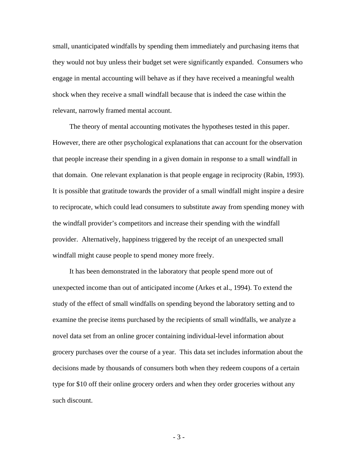small, unanticipated windfalls by spending them immediately and purchasing items that they would not buy unless their budget set were significantly expanded. Consumers who engage in mental accounting will behave as if they have received a meaningful wealth shock when they receive a small windfall because that is indeed the case within the relevant, narrowly framed mental account.

The theory of mental accounting motivates the hypotheses tested in this paper. However, there are other psychological explanations that can account for the observation that people increase their spending in a given domain in response to a small windfall in that domain. One relevant explanation is that people engage in reciprocity (Rabin, 1993). It is possible that gratitude towards the provider of a small windfall might inspire a desire to reciprocate, which could lead consumers to substitute away from spending money with the windfall provider's competitors and increase their spending with the windfall provider. Alternatively, happiness triggered by the receipt of an unexpected small windfall might cause people to spend money more freely.

It has been demonstrated in the laboratory that people spend more out of unexpected income than out of anticipated income (Arkes et al., 1994). To extend the study of the effect of small windfalls on spending beyond the laboratory setting and to examine the precise items purchased by the recipients of small windfalls, we analyze a novel data set from an online grocer containing individual-level information about grocery purchases over the course of a year. This data set includes information about the decisions made by thousands of consumers both when they redeem coupons of a certain type for \$10 off their online grocery orders and when they order groceries without any such discount.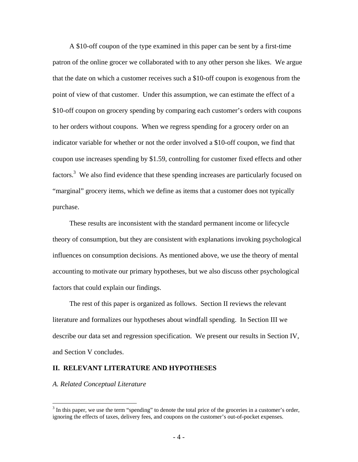A \$10-off coupon of the type examined in this paper can be sent by a first-time patron of the online grocer we collaborated with to any other person she likes. We argue that the date on which a customer receives such a \$10-off coupon is exogenous from the point of view of that customer. Under this assumption, we can estimate the effect of a \$10-off coupon on grocery spending by comparing each customer's orders with coupons to her orders without coupons. When we regress spending for a grocery order on an indicator variable for whether or not the order involved a \$10-off coupon, we find that coupon use increases spending by \$1.59, controlling for customer fixed effects and other factors.<sup>3</sup> We also find evidence that these spending increases are particularly focused on "marginal" grocery items, which we define as items that a customer does not typically purchase.

These results are inconsistent with the standard permanent income or lifecycle theory of consumption, but they are consistent with explanations invoking psychological influences on consumption decisions. As mentioned above, we use the theory of mental accounting to motivate our primary hypotheses, but we also discuss other psychological factors that could explain our findings.

The rest of this paper is organized as follows. Section II reviews the relevant literature and formalizes our hypotheses about windfall spending. In Section III we describe our data set and regression specification. We present our results in Section IV, and Section V concludes.

#### **II. RELEVANT LITERATURE AND HYPOTHESES**

*A. Related Conceptual Literature* 

 $\overline{a}$ 

 $3$  In this paper, we use the term "spending" to denote the total price of the groceries in a customer's order, ignoring the effects of taxes, delivery fees, and coupons on the customer's out-of-pocket expenses.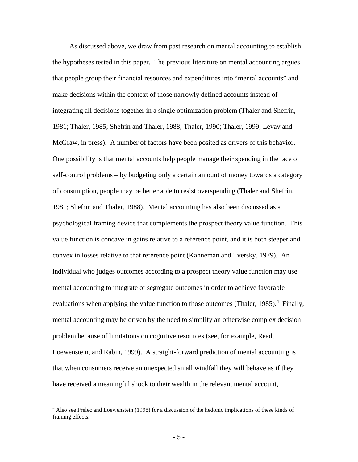As discussed above, we draw from past research on mental accounting to establish the hypotheses tested in this paper. The previous literature on mental accounting argues that people group their financial resources and expenditures into "mental accounts" and make decisions within the context of those narrowly defined accounts instead of integrating all decisions together in a single optimization problem (Thaler and Shefrin, 1981; Thaler, 1985; Shefrin and Thaler, 1988; Thaler, 1990; Thaler, 1999; Levav and McGraw, in press). A number of factors have been posited as drivers of this behavior. One possibility is that mental accounts help people manage their spending in the face of self-control problems – by budgeting only a certain amount of money towards a category of consumption, people may be better able to resist overspending (Thaler and Shefrin, 1981; Shefrin and Thaler, 1988). Mental accounting has also been discussed as a psychological framing device that complements the prospect theory value function. This value function is concave in gains relative to a reference point, and it is both steeper and convex in losses relative to that reference point (Kahneman and Tversky, 1979). An individual who judges outcomes according to a prospect theory value function may use mental accounting to integrate or segregate outcomes in order to achieve favorable evaluations when applying the value function to those outcomes (Thaler, 1985).<sup>4</sup> Finally, mental accounting may be driven by the need to simplify an otherwise complex decision problem because of limitations on cognitive resources (see, for example, Read, Loewenstein, and Rabin, 1999). A straight-forward prediction of mental accounting is that when consumers receive an unexpected small windfall they will behave as if they have received a meaningful shock to their wealth in the relevant mental account,

 $\overline{a}$ 

<sup>&</sup>lt;sup>4</sup> Also see Prelec and Loewenstein (1998) for a discussion of the hedonic implications of these kinds of framing effects.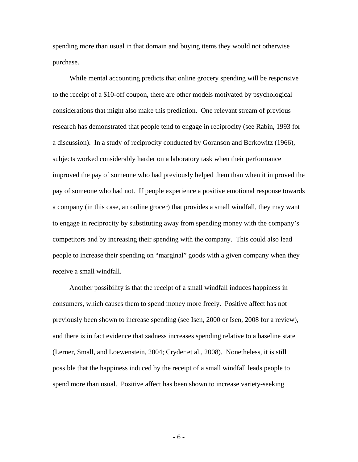spending more than usual in that domain and buying items they would not otherwise purchase.

While mental accounting predicts that online grocery spending will be responsive to the receipt of a \$10-off coupon, there are other models motivated by psychological considerations that might also make this prediction. One relevant stream of previous research has demonstrated that people tend to engage in reciprocity (see Rabin, 1993 for a discussion). In a study of reciprocity conducted by Goranson and Berkowitz (1966), subjects worked considerably harder on a laboratory task when their performance improved the pay of someone who had previously helped them than when it improved the pay of someone who had not. If people experience a positive emotional response towards a company (in this case, an online grocer) that provides a small windfall, they may want to engage in reciprocity by substituting away from spending money with the company's competitors and by increasing their spending with the company. This could also lead people to increase their spending on "marginal" goods with a given company when they receive a small windfall.

Another possibility is that the receipt of a small windfall induces happiness in consumers, which causes them to spend money more freely. Positive affect has not previously been shown to increase spending (see Isen, 2000 or Isen, 2008 for a review), and there is in fact evidence that sadness increases spending relative to a baseline state (Lerner, Small, and Loewenstein, 2004; Cryder et al., 2008). Nonetheless, it is still possible that the happiness induced by the receipt of a small windfall leads people to spend more than usual. Positive affect has been shown to increase variety-seeking

- 6 -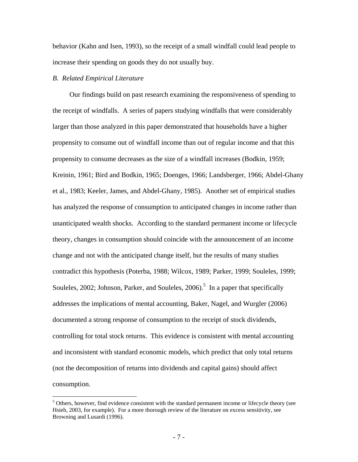behavior (Kahn and Isen, 1993), so the receipt of a small windfall could lead people to increase their spending on goods they do not usually buy.

#### *B. Related Empirical Literature*

 $\overline{a}$ 

Our findings build on past research examining the responsiveness of spending to the receipt of windfalls. A series of papers studying windfalls that were considerably larger than those analyzed in this paper demonstrated that households have a higher propensity to consume out of windfall income than out of regular income and that this propensity to consume decreases as the size of a windfall increases (Bodkin, 1959; Kreinin, 1961; Bird and Bodkin, 1965; Doenges, 1966; Landsberger, 1966; Abdel-Ghany et al., 1983; Keeler, James, and Abdel-Ghany, 1985). Another set of empirical studies has analyzed the response of consumption to anticipated changes in income rather than unanticipated wealth shocks. According to the standard permanent income or lifecycle theory, changes in consumption should coincide with the announcement of an income change and not with the anticipated change itself, but the results of many studies contradict this hypothesis (Poterba, 1988; Wilcox, 1989; Parker, 1999; Souleles, 1999; Souleles, 2002; Johnson, Parker, and Souleles,  $2006$ <sup>5</sup> In a paper that specifically addresses the implications of mental accounting, Baker, Nagel, and Wurgler (2006) documented a strong response of consumption to the receipt of stock dividends, controlling for total stock returns. This evidence is consistent with mental accounting and inconsistent with standard economic models, which predict that only total returns (not the decomposition of returns into dividends and capital gains) should affect consumption.

<sup>&</sup>lt;sup>5</sup> Others, however, find evidence consistent with the standard permanent income or lifecycle theory (see Hsieh, 2003, for example). For a more thorough review of the literature on excess sensitivity, see Browning and Lusardi (1996).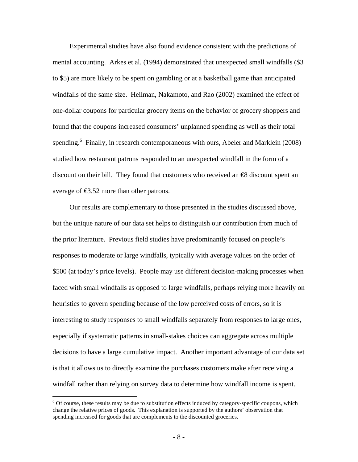Experimental studies have also found evidence consistent with the predictions of mental accounting. Arkes et al. (1994) demonstrated that unexpected small windfalls (\$3 to \$5) are more likely to be spent on gambling or at a basketball game than anticipated windfalls of the same size. Heilman, Nakamoto, and Rao (2002) examined the effect of one-dollar coupons for particular grocery items on the behavior of grocery shoppers and found that the coupons increased consumers' unplanned spending as well as their total spending.<sup>6</sup> Finally, in research contemporaneous with ours, Abeler and Marklein (2008) studied how restaurant patrons responded to an unexpected windfall in the form of a discount on their bill. They found that customers who received an  $\bigoplus$  discount spent an average of  $\epsilon$ 3.52 more than other patrons.

Our results are complementary to those presented in the studies discussed above, but the unique nature of our data set helps to distinguish our contribution from much of the prior literature. Previous field studies have predominantly focused on people's responses to moderate or large windfalls, typically with average values on the order of \$500 (at today's price levels). People may use different decision-making processes when faced with small windfalls as opposed to large windfalls, perhaps relying more heavily on heuristics to govern spending because of the low perceived costs of errors, so it is interesting to study responses to small windfalls separately from responses to large ones, especially if systematic patterns in small-stakes choices can aggregate across multiple decisions to have a large cumulative impact. Another important advantage of our data set is that it allows us to directly examine the purchases customers make after receiving a windfall rather than relying on survey data to determine how windfall income is spent.

1

 $6$  Of course, these results may be due to substitution effects induced by category-specific coupons, which change the relative prices of goods. This explanation is supported by the authors' observation that spending increased for goods that are complements to the discounted groceries.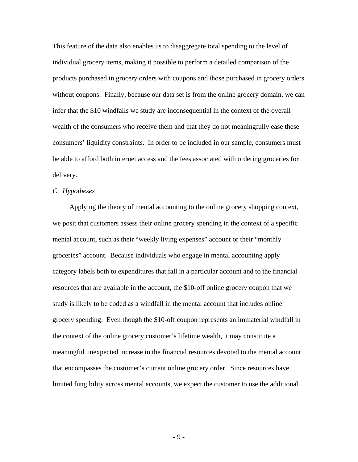This feature of the data also enables us to disaggregate total spending to the level of individual grocery items, making it possible to perform a detailed comparison of the products purchased in grocery orders with coupons and those purchased in grocery orders without coupons. Finally, because our data set is from the online grocery domain, we can infer that the \$10 windfalls we study are inconsequential in the context of the overall wealth of the consumers who receive them and that they do not meaningfully ease these consumers' liquidity constraints. In order to be included in our sample, consumers must be able to afford both internet access and the fees associated with ordering groceries for delivery.

## *C. Hypotheses*

Applying the theory of mental accounting to the online grocery shopping context, we posit that customers assess their online grocery spending in the context of a specific mental account, such as their "weekly living expenses" account or their "monthly groceries" account. Because individuals who engage in mental accounting apply category labels both to expenditures that fall in a particular account and to the financial resources that are available in the account, the \$10-off online grocery coupon that we study is likely to be coded as a windfall in the mental account that includes online grocery spending. Even though the \$10-off coupon represents an immaterial windfall in the context of the online grocery customer's lifetime wealth, it may constitute a meaningful unexpected increase in the financial resources devoted to the mental account that encompasses the customer's current online grocery order. Since resources have limited fungibility across mental accounts, we expect the customer to use the additional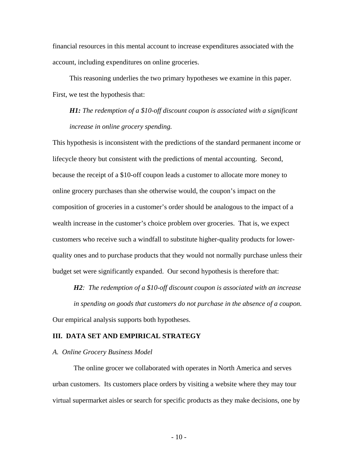financial resources in this mental account to increase expenditures associated with the account, including expenditures on online groceries.

This reasoning underlies the two primary hypotheses we examine in this paper. First, we test the hypothesis that:

*H1: The redemption of a \$10-off discount coupon is associated with a significant increase in online grocery spending.* 

This hypothesis is inconsistent with the predictions of the standard permanent income or lifecycle theory but consistent with the predictions of mental accounting. Second, because the receipt of a \$10-off coupon leads a customer to allocate more money to online grocery purchases than she otherwise would, the coupon's impact on the composition of groceries in a customer's order should be analogous to the impact of a wealth increase in the customer's choice problem over groceries. That is, we expect customers who receive such a windfall to substitute higher-quality products for lowerquality ones and to purchase products that they would not normally purchase unless their budget set were significantly expanded. Our second hypothesis is therefore that:

*H2: The redemption of a \$10-off discount coupon is associated with an increase in spending on goods that customers do not purchase in the absence of a coupon.*  Our empirical analysis supports both hypotheses.

#### **III. DATA SET AND EMPIRICAL STRATEGY**

#### *A. Online Grocery Business Model*

The online grocer we collaborated with operates in North America and serves urban customers. Its customers place orders by visiting a website where they may tour virtual supermarket aisles or search for specific products as they make decisions, one by

 $-10-$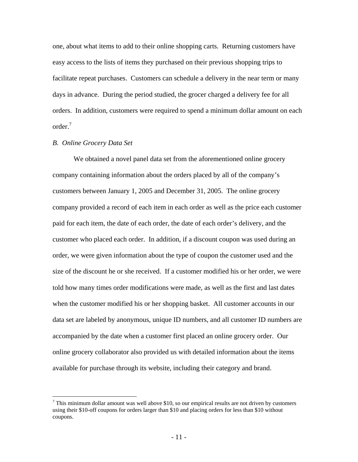one, about what items to add to their online shopping carts. Returning customers have easy access to the lists of items they purchased on their previous shopping trips to facilitate repeat purchases. Customers can schedule a delivery in the near term or many days in advance. During the period studied, the grocer charged a delivery fee for all orders. In addition, customers were required to spend a minimum dollar amount on each order.7

#### *B. Online Grocery Data Set*

 $\overline{a}$ 

We obtained a novel panel data set from the aforementioned online grocery company containing information about the orders placed by all of the company's customers between January 1, 2005 and December 31, 2005. The online grocery company provided a record of each item in each order as well as the price each customer paid for each item, the date of each order, the date of each order's delivery, and the customer who placed each order. In addition, if a discount coupon was used during an order, we were given information about the type of coupon the customer used and the size of the discount he or she received. If a customer modified his or her order, we were told how many times order modifications were made, as well as the first and last dates when the customer modified his or her shopping basket. All customer accounts in our data set are labeled by anonymous, unique ID numbers, and all customer ID numbers are accompanied by the date when a customer first placed an online grocery order. Our online grocery collaborator also provided us with detailed information about the items available for purchase through its website, including their category and brand.

 $<sup>7</sup>$  This minimum dollar amount was well above \$10, so our empirical results are not driven by customers</sup> using their \$10-off coupons for orders larger than \$10 and placing orders for less than \$10 without coupons.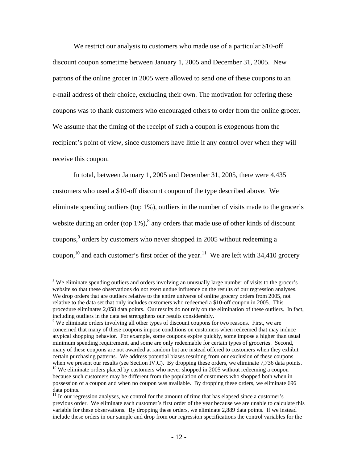We restrict our analysis to customers who made use of a particular \$10-off discount coupon sometime between January 1, 2005 and December 31, 2005. New patrons of the online grocer in 2005 were allowed to send one of these coupons to an e-mail address of their choice, excluding their own. The motivation for offering these coupons was to thank customers who encouraged others to order from the online grocer. We assume that the timing of the receipt of such a coupon is exogenous from the recipient's point of view, since customers have little if any control over when they will receive this coupon.

In total, between January 1, 2005 and December 31, 2005, there were 4,435 customers who used a \$10-off discount coupon of the type described above. We eliminate spending outliers (top 1%), outliers in the number of visits made to the grocer's website during an order (top  $1\%$ ),<sup>8</sup> any orders that made use of other kinds of discount coupons,  $9^{\circ}$  orders by customers who never shopped in 2005 without redeeming a coupon,<sup>10</sup> and each customer's first order of the year.<sup>11</sup> We are left with 34,410 grocery

 $\overline{a}$ 

<sup>&</sup>lt;sup>8</sup> We eliminate spending outliers and orders involving an unusually large number of visits to the grocer's website so that these observations do not exert undue influence on the results of our regression analyses. We drop orders that are outliers relative to the entire universe of online grocery orders from 2005, not relative to the data set that only includes customers who redeemed a \$10-off coupon in 2005. This procedure eliminates 2,058 data points. Our results do not rely on the elimination of these outliers. In fact, including outliers in the data set strengthens our results considerably.

<sup>&</sup>lt;sup>9</sup> We eliminate orders involving all other types of discount coupons for two reasons. First, we are concerned that many of these coupons impose conditions on customers when redeemed that may induce atypical shopping behavior. For example, some coupons expire quickly, some impose a higher than usual minimum spending requirement, and some are only redeemable for certain types of groceries. Second, many of these coupons are not awarded at random but are instead offered to customers when they exhibit certain purchasing patterns. We address potential biases resulting from our exclusion of these coupons when we present our results (see Section IV.C). By dropping these orders, we eliminate 7,736 data points.  $10$  We eliminate orders placed by customers who never shopped in 2005 without redeeming a coupon because such customers may be different from the population of customers who shopped both when in possession of a coupon and when no coupon was available. By dropping these orders, we eliminate 696 data points.

 $11$  In our regression analyses, we control for the amount of time that has elapsed since a customer's previous order. We eliminate each customer's first order of the year because we are unable to calculate this variable for these observations. By dropping these orders, we eliminate 2,889 data points. If we instead include these orders in our sample and drop from our regression specifications the control variables for the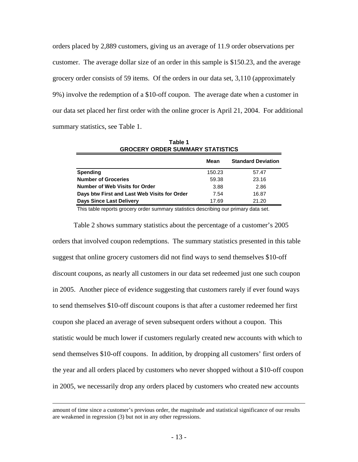orders placed by 2,889 customers, giving us an average of 11.9 order observations per customer. The average dollar size of an order in this sample is \$150.23, and the average grocery order consists of 59 items. Of the orders in our data set, 3,110 (approximately 9%) involve the redemption of a \$10-off coupon. The average date when a customer in our data set placed her first order with the online grocer is April 21, 2004. For additional summary statistics, see Table 1.

| <b>GROCERY ORDER SUMMARY STATISTICS</b>      |        |       |  |  |
|----------------------------------------------|--------|-------|--|--|
| <b>Standard Deviation</b><br>Mean            |        |       |  |  |
| Spending                                     | 150.23 | 57.47 |  |  |
| <b>Number of Groceries</b>                   | 59.38  | 23.16 |  |  |
| Number of Web Visits for Order               | 3.88   | 2.86  |  |  |
| Days btw First and Last Web Visits for Order | 7.54   | 16.87 |  |  |
| <b>Days Since Last Delivery</b>              | 17.69  | 21.20 |  |  |

**Table 1**

This table reports grocery order summary statistics describing our primary data set.

Table 2 shows summary statistics about the percentage of a customer's 2005 orders that involved coupon redemptions. The summary statistics presented in this table suggest that online grocery customers did not find ways to send themselves \$10-off discount coupons, as nearly all customers in our data set redeemed just one such coupon in 2005. Another piece of evidence suggesting that customers rarely if ever found ways to send themselves \$10-off discount coupons is that after a customer redeemed her first coupon she placed an average of seven subsequent orders without a coupon. This statistic would be much lower if customers regularly created new accounts with which to send themselves \$10-off coupons. In addition, by dropping all customers' first orders of the year and all orders placed by customers who never shopped without a \$10-off coupon in 2005, we necessarily drop any orders placed by customers who created new accounts

amount of time since a customer's previous order, the magnitude and statistical significance of our results are weakened in regression (3) but not in any other regressions.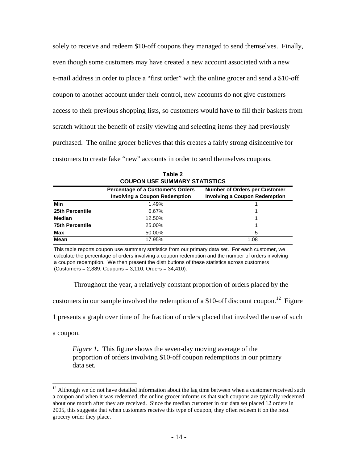solely to receive and redeem \$10-off coupons they managed to send themselves. Finally, even though some customers may have created a new account associated with a new e-mail address in order to place a "first order" with the online grocer and send a \$10-off coupon to another account under their control, new accounts do not give customers access to their previous shopping lists, so customers would have to fill their baskets from scratch without the benefit of easily viewing and selecting items they had previously purchased. The online grocer believes that this creates a fairly strong disincentive for customers to create fake "new" accounts in order to send themselves coupons.

| <b>COUPON USE SUMMARY STATISTICS</b> |                                                                           |                                      |  |
|--------------------------------------|---------------------------------------------------------------------------|--------------------------------------|--|
|                                      | Percentage of a Customer's Orders<br><b>Number of Orders per Customer</b> |                                      |  |
|                                      | <b>Involving a Coupon Redemption</b>                                      | <b>Involving a Coupon Redemption</b> |  |
| Min                                  | 1.49%                                                                     |                                      |  |
| 25th Percentile                      | 6.67%                                                                     |                                      |  |
| Median                               | 12.50%                                                                    |                                      |  |
| <b>75th Percentile</b>               | 25.00%                                                                    |                                      |  |
| Max                                  | 50.00%                                                                    | 5                                    |  |
| <b>Mean</b>                          | 17.95%                                                                    | 1.08                                 |  |

**COUPON USE SUMMARY STATISTICS Table 2**

This table reports coupon use summary statistics from our primary data set. For each customer, we calculate the percentage of orders involving a coupon redemption and the number of orders involving a coupon redemption. We then present the distributions of these statistics across customers (Customers = 2,889, Coupons = 3,110, Orders = 34,410).

Throughout the year, a relatively constant proportion of orders placed by the

customers in our sample involved the redemption of a \$10-off discount coupon.<sup>12</sup> Figure

1 presents a graph over time of the fraction of orders placed that involved the use of such

a coupon.

1

*Figure 1***.** This figure shows the seven-day moving average of the proportion of orders involving \$10-off coupon redemptions in our primary data set.

 $12$  Although we do not have detailed information about the lag time between when a customer received such a coupon and when it was redeemed, the online grocer informs us that such coupons are typically redeemed about one month after they are received. Since the median customer in our data set placed 12 orders in 2005, this suggests that when customers receive this type of coupon, they often redeem it on the next grocery order they place.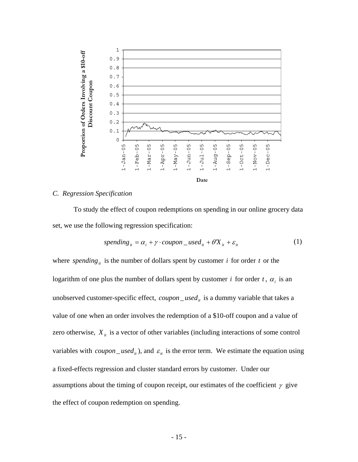

## *C. Regression Specification*

To study the effect of coupon redemptions on spending in our online grocery data set, we use the following regression specification:

$$
spending_{it} = \alpha_i + \gamma \cdot coupon\_used_{it} + \theta X_{it} + \varepsilon_{it}
$$
\n(1)

where *spending* is the number of dollars spent by customer *i* for order *t* or the logarithm of one plus the number of dollars spent by customer *i* for order *t*,  $\alpha_i$  is an unobserved customer-specific effect,  $coupon\_used_{it}$  is a dummy variable that takes a value of one when an order involves the redemption of a \$10-off coupon and a value of zero otherwise,  $X_{it}$  is a vector of other variables (including interactions of some control variables with *coupon* \_ *used<sub>it</sub>* ), and  $\varepsilon$ <sub>it</sub> is the error term. We estimate the equation using a fixed-effects regression and cluster standard errors by customer. Under our assumptions about the timing of coupon receipt, our estimates of the coefficient  $\gamma$  give the effect of coupon redemption on spending.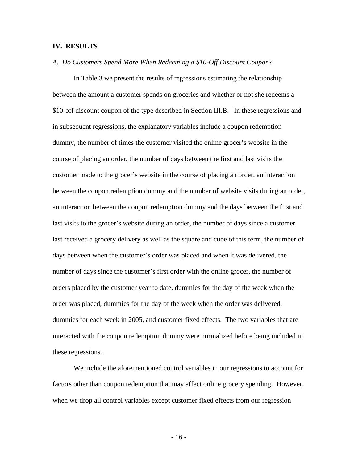### **IV. RESULTS**

#### *A. Do Customers Spend More When Redeeming a \$10-Off Discount Coupon?*

In Table 3 we present the results of regressions estimating the relationship between the amount a customer spends on groceries and whether or not she redeems a \$10-off discount coupon of the type described in Section III.B. In these regressions and in subsequent regressions, the explanatory variables include a coupon redemption dummy, the number of times the customer visited the online grocer's website in the course of placing an order, the number of days between the first and last visits the customer made to the grocer's website in the course of placing an order, an interaction between the coupon redemption dummy and the number of website visits during an order, an interaction between the coupon redemption dummy and the days between the first and last visits to the grocer's website during an order, the number of days since a customer last received a grocery delivery as well as the square and cube of this term, the number of days between when the customer's order was placed and when it was delivered, the number of days since the customer's first order with the online grocer, the number of orders placed by the customer year to date, dummies for the day of the week when the order was placed, dummies for the day of the week when the order was delivered, dummies for each week in 2005, and customer fixed effects. The two variables that are interacted with the coupon redemption dummy were normalized before being included in these regressions.

We include the aforementioned control variables in our regressions to account for factors other than coupon redemption that may affect online grocery spending. However, when we drop all control variables except customer fixed effects from our regression

- 16 -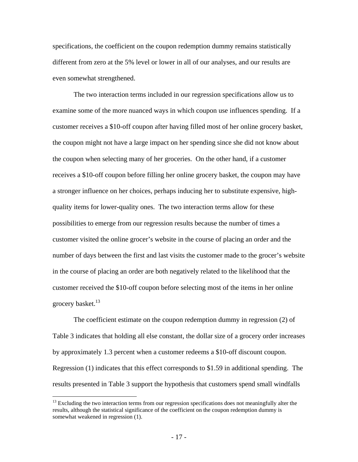specifications, the coefficient on the coupon redemption dummy remains statistically different from zero at the 5% level or lower in all of our analyses, and our results are even somewhat strengthened.

The two interaction terms included in our regression specifications allow us to examine some of the more nuanced ways in which coupon use influences spending. If a customer receives a \$10-off coupon after having filled most of her online grocery basket, the coupon might not have a large impact on her spending since she did not know about the coupon when selecting many of her groceries. On the other hand, if a customer receives a \$10-off coupon before filling her online grocery basket, the coupon may have a stronger influence on her choices, perhaps inducing her to substitute expensive, highquality items for lower-quality ones. The two interaction terms allow for these possibilities to emerge from our regression results because the number of times a customer visited the online grocer's website in the course of placing an order and the number of days between the first and last visits the customer made to the grocer's website in the course of placing an order are both negatively related to the likelihood that the customer received the \$10-off coupon before selecting most of the items in her online grocery basket. $^{13}$ 

The coefficient estimate on the coupon redemption dummy in regression (2) of Table 3 indicates that holding all else constant, the dollar size of a grocery order increases by approximately 1.3 percent when a customer redeems a \$10-off discount coupon. Regression (1) indicates that this effect corresponds to \$1.59 in additional spending. The results presented in Table 3 support the hypothesis that customers spend small windfalls

 $\overline{a}$ 

<sup>&</sup>lt;sup>13</sup> Excluding the two interaction terms from our regression specifications does not meaningfully alter the results, although the statistical significance of the coefficient on the coupon redemption dummy is somewhat weakened in regression (1).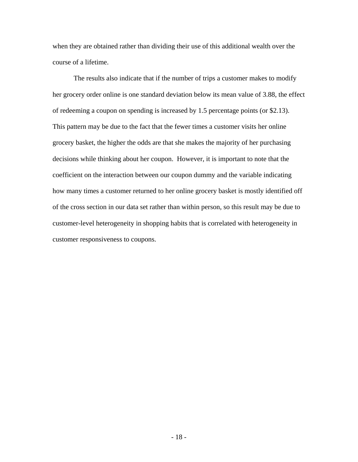when they are obtained rather than dividing their use of this additional wealth over the course of a lifetime.

The results also indicate that if the number of trips a customer makes to modify her grocery order online is one standard deviation below its mean value of 3.88, the effect of redeeming a coupon on spending is increased by 1.5 percentage points (or \$2.13). This pattern may be due to the fact that the fewer times a customer visits her online grocery basket, the higher the odds are that she makes the majority of her purchasing decisions while thinking about her coupon. However, it is important to note that the coefficient on the interaction between our coupon dummy and the variable indicating how many times a customer returned to her online grocery basket is mostly identified off of the cross section in our data set rather than within person, so this result may be due to customer-level heterogeneity in shopping habits that is correlated with heterogeneity in customer responsiveness to coupons.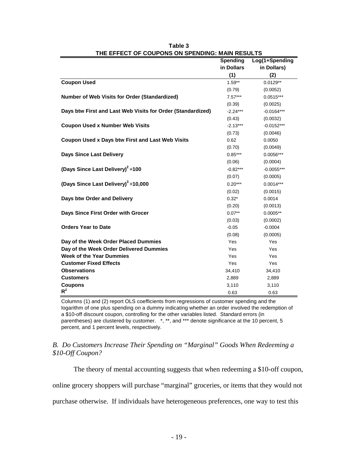|                                                             | <b>Spending</b> | Log(1+Spending |
|-------------------------------------------------------------|-----------------|----------------|
|                                                             | in Dollars      | in Dollars)    |
|                                                             | (1)             | (2)            |
| <b>Coupon Used</b>                                          | $1.59**$        | $0.0129**$     |
|                                                             | (0.79)          | (0.0052)       |
| Number of Web Visits for Order (Standardized)               | $7.57***$       | $0.0515***$    |
|                                                             | (0.39)          | (0.0025)       |
| Days btw First and Last Web Visits for Order (Standardized) | $-2.24***$      | $-0.0164***$   |
|                                                             | (0.43)          | (0.0032)       |
| <b>Coupon Used x Number Web Visits</b>                      | $-2.13***$      | $-0.0152***$   |
|                                                             | (0.73)          | (0.0046)       |
| <b>Coupon Used x Days btw First and Last Web Visits</b>     | 0.62            | 0.0050         |
|                                                             | (0.70)          | (0.0049)       |
| <b>Days Since Last Delivery</b>                             | $0.85***$       | $0.0056***$    |
|                                                             | (0.06)          | (0.0004)       |
| (Days Since Last Delivery) <sup>2</sup> ÷100                | $-0.82***$      | $-0.0055***$   |
|                                                             | (0.07)          | (0.0005)       |
| (Days Since Last Delivery) <sup>3</sup> ÷10,000             | $0.20***$       | $0.0014***$    |
|                                                             | (0.02)          | (0.0015)       |
| Days btw Order and Delivery                                 | $0.32*$         | 0.0014         |
|                                                             | (0.20)          | (0.0013)       |
| Days Since First Order with Grocer                          | $0.07**$        | $0.0005**$     |
|                                                             | (0.03)          | (0.0002)       |
| <b>Orders Year to Date</b>                                  | $-0.05$         | $-0.0004$      |
|                                                             | (0.08)          | (0.0005)       |
| Day of the Week Order Placed Dummies                        | Yes             | Yes            |
| Day of the Week Order Delivered Dummies                     | Yes             | Yes            |
| <b>Week of the Year Dummies</b>                             | Yes             | Yes            |
| <b>Customer Fixed Effects</b>                               | Yes             | Yes            |
| <b>Observations</b>                                         | 34,410          | 34,410         |
| <b>Customers</b>                                            | 2,889           | 2,889          |
| <b>Coupons</b>                                              | 3,110           | 3,110          |
| $R^2$                                                       | 0.63            | 0.63           |

**THE EFFECT OF COUPONS ON SPENDING: MAIN RESULTS Table 3**

Columns (1) and (2) report OLS coefficients from regressions of customer spending and the logarithm of one plus spending on a dummy indicating whether an order involved the redemption of a \$10-off discount coupon, controlling for the other variables listed. Standard errors (in parentheses) are clustered by customer. \*, \*\*, and \*\*\* denote significance at the 10 percent, 5 percent, and 1 percent levels, respectively.

## *B. Do Customers Increase Their Spending on "Marginal" Goods When Redeeming a \$10-Off Coupon?*

The theory of mental accounting suggests that when redeeming a \$10-off coupon,

online grocery shoppers will purchase "marginal" groceries, or items that they would not

purchase otherwise. If individuals have heterogeneous preferences, one way to test this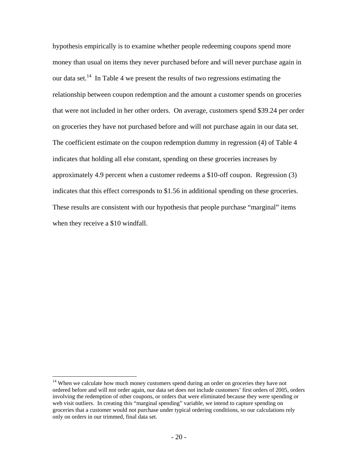hypothesis empirically is to examine whether people redeeming coupons spend more money than usual on items they never purchased before and will never purchase again in our data set.<sup>14</sup> In Table 4 we present the results of two regressions estimating the relationship between coupon redemption and the amount a customer spends on groceries that were not included in her other orders. On average, customers spend \$39.24 per order on groceries they have not purchased before and will not purchase again in our data set. The coefficient estimate on the coupon redemption dummy in regression (4) of Table 4 indicates that holding all else constant, spending on these groceries increases by approximately 4.9 percent when a customer redeems a \$10-off coupon. Regression (3) indicates that this effect corresponds to \$1.56 in additional spending on these groceries. These results are consistent with our hypothesis that people purchase "marginal" items when they receive a \$10 windfall.

1

 $14$  When we calculate how much money customers spend during an order on groceries they have not ordered before and will not order again, our data set does not include customers' first orders of 2005, orders involving the redemption of other coupons, or orders that were eliminated because they were spending or web visit outliers. In creating this "marginal spending" variable, we intend to capture spending on groceries that a customer would not purchase under typical ordering conditions, so our calculations rely only on orders in our trimmed, final data set.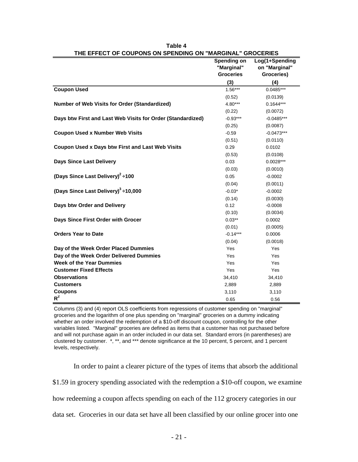|                                                             | <br><b>Spending on</b> | Log(1+Spending |
|-------------------------------------------------------------|------------------------|----------------|
|                                                             | "Marginal"             | on "Marginal"  |
|                                                             | <b>Groceries</b>       | Groceries)     |
|                                                             | (3)                    | (4)            |
| <b>Coupon Used</b>                                          | $1.56***$              | $0.0485***$    |
|                                                             | (0.52)                 | (0.0139)       |
| <b>Number of Web Visits for Order (Standardized)</b>        | 4.80***                | $0.1644***$    |
|                                                             | (0.22)                 | (0.0072)       |
| Days btw First and Last Web Visits for Order (Standardized) | $-0.93***$             | $-0.0485***$   |
|                                                             | (0.25)                 | (0.0087)       |
| <b>Coupon Used x Number Web Visits</b>                      | $-0.59$                | $-0.0473***$   |
|                                                             | (0.51)                 | (0.0110)       |
| <b>Coupon Used x Days btw First and Last Web Visits</b>     | 0.29                   | 0.0102         |
|                                                             | (0.53)                 | (0.0108)       |
| <b>Days Since Last Delivery</b>                             | 0.03                   | $0.0028***$    |
|                                                             | (0.03)                 | (0.0010)       |
| (Days Since Last Delivery) <sup>2</sup> :100                | 0.05                   | $-0.0002$      |
|                                                             | (0.04)                 | (0.0011)       |
| (Days Since Last Delivery) <sup>3</sup> ÷10,000             | $-0.03*$               | $-0.0002$      |
|                                                             | (0.14)                 | (0.0030)       |
| Days btw Order and Delivery                                 | 0.12                   | $-0.0008$      |
|                                                             | (0.10)                 | (0.0034)       |
| Days Since First Order with Grocer                          | $0.03**$               | 0.0002         |
|                                                             | (0.01)                 | (0.0005)       |
| <b>Orders Year to Date</b>                                  | $-0.14***$             | 0.0006         |
|                                                             | (0.04)                 | (0.0018)       |
| Day of the Week Order Placed Dummies                        | Yes                    | Yes            |
| Day of the Week Order Delivered Dummies                     | Yes                    | Yes            |
| <b>Week of the Year Dummies</b>                             | Yes                    | Yes            |
| <b>Customer Fixed Effects</b>                               | Yes                    | Yes            |
| <b>Observations</b>                                         | 34,410                 | 34,410         |
| <b>Customers</b>                                            | 2,889                  | 2,889          |
| <b>Coupons</b>                                              | 3,110                  | 3,110          |
| $R^2$                                                       | 0.65                   | 0.56           |

| Table 4                                                   |
|-----------------------------------------------------------|
| THE EFFECT OF COUPONS ON SPENDING ON "MARGINAL" GROCERIES |

Columns (3) and (4) report OLS coefficients from regressions of customer spending on "marginal" groceries and the logarithm of one plus spending on "marginal" groceries on a dummy indicating whether an order involved the redemption of a \$10-off discount coupon, controlling for the other variables listed. "Marginal" groceries are defined as items that a customer has not purchased before and will not purchase again in an order included in our data set. Standard errors (in parentheses) are clustered by customer. \*, \*\*, and \*\*\* denote significance at the 10 percent, 5 percent, and 1 percent levels, respectively.

In order to paint a clearer picture of the types of items that absorb the additional \$1.59 in grocery spending associated with the redemption a \$10-off coupon, we examine how redeeming a coupon affects spending on each of the 112 grocery categories in our data set. Groceries in our data set have all been classified by our online grocer into one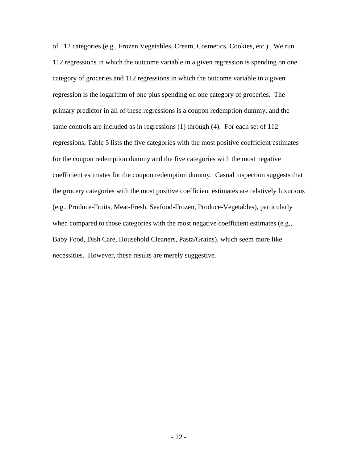of 112 categories (e.g., Frozen Vegetables, Cream, Cosmetics, Cookies, etc.). We run 112 regressions in which the outcome variable in a given regression is spending on one category of groceries and 112 regressions in which the outcome variable in a given regression is the logarithm of one plus spending on one category of groceries. The primary predictor in all of these regressions is a coupon redemption dummy, and the same controls are included as in regressions (1) through (4). For each set of 112 regressions, Table 5 lists the five categories with the most positive coefficient estimates for the coupon redemption dummy and the five categories with the most negative coefficient estimates for the coupon redemption dummy. Casual inspection suggests that the grocery categories with the most positive coefficient estimates are relatively luxurious (e.g., Produce-Fruits, Meat-Fresh, Seafood-Frozen, Produce-Vegetables), particularly when compared to those categories with the most negative coefficient estimates (e.g., Baby Food, Dish Care, Household Cleaners, Pasta/Grains), which seem more like necessities. However, these results are merely suggestive.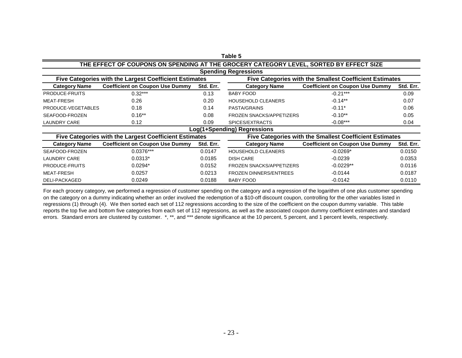| THE EFFECT OF COUPONS ON SPENDING AT THE GROCERY CATEGORY LEVEL, SORTED BY EFFECT SIZE                                   |                                                        |           |                                                         |                                        |           |
|--------------------------------------------------------------------------------------------------------------------------|--------------------------------------------------------|-----------|---------------------------------------------------------|----------------------------------------|-----------|
| <b>Spending Regressions</b>                                                                                              |                                                        |           |                                                         |                                        |           |
| Five Categories with the Largest Coefficient Estimates<br><b>Five Categories with the Smallest Coefficient Estimates</b> |                                                        |           |                                                         |                                        |           |
| <b>Category Name</b>                                                                                                     | <b>Coefficient on Coupon Use Dummy</b>                 | Std. Err. | <b>Category Name</b>                                    | <b>Coefficient on Coupon Use Dummy</b> | Std. Err. |
| PRODUCE-FRUITS                                                                                                           | $0.32***$                                              | 0.13      | <b>BABY FOOD</b>                                        | $-0.21***$                             | 0.09      |
| <b>MEAT-FRESH</b>                                                                                                        | 0.26                                                   | 0.20      | <b>HOUSEHOLD CLEANERS</b>                               | $-0.14**$                              | 0.07      |
| PRODUCE-VEGETABLES                                                                                                       | 0.18                                                   | 0.14      | PASTA/GRAINS                                            | $-0.11*$                               | 0.06      |
| SEAFOOD-FROZEN                                                                                                           | $0.16**$                                               | 0.08      | <b>FROZEN SNACKS/APPETIZERS</b>                         | $-0.10**$                              | 0.05      |
| <b>LAUNDRY CARE</b>                                                                                                      | 0.12                                                   | 0.09      | SPICES/EXTRACTS                                         | $-0.08***$                             | 0.04      |
|                                                                                                                          |                                                        |           | Log(1+Spending) Regressions                             |                                        |           |
|                                                                                                                          | Five Categories with the Largest Coefficient Estimates |           | Five Categories with the Smallest Coefficient Estimates |                                        |           |
| <b>Category Name</b>                                                                                                     | <b>Coefficient on Coupon Use Dummy</b>                 | Std. Err. | <b>Category Name</b>                                    | <b>Coefficient on Coupon Use Dummy</b> | Std. Err. |
| SEAFOOD-FROZEN                                                                                                           | $0.0376***$                                            | 0.0147    | <b>HOUSEHOLD CLEANERS</b>                               | $-0.0269*$                             | 0.0150    |
| <b>LAUNDRY CARE</b>                                                                                                      | $0.0313*$                                              | 0.0185    | <b>DISH CARE</b>                                        | $-0.0239$                              | 0.0353    |
| PRODUCE-FRUITS                                                                                                           | $0.0294*$                                              | 0.0152    | <b>FROZEN SNACKS/APPETIZERS</b>                         | $-0.0229**$                            | 0.0116    |
| <b>MEAT-FRESH</b>                                                                                                        | 0.0257                                                 | 0.0213    | <b>FROZEN DINNERS/ENTREES</b>                           | $-0.0144$                              | 0.0187    |
| DELI-PACKAGED                                                                                                            | 0.0249                                                 | 0.0188    | <b>BABY FOOD</b>                                        | $-0.0142$                              | 0.0110    |

**Table 5**

For each grocery category, we performed a regression of customer spending on the category and a regression of the logarithm of one plus customer spending on the category on a dummy indicating whether an order involved the redemption of a \$10-off discount coupon, controlling for the other variables listed in regressions (1) through (4). We then sorted each set of 112 regressions according to the size of the coefficient on the coupon dummy variable. This table reports the top five and bottom five categories from each set of 112 regressions, as well as the associated coupon dummy coefficient estimates and standard errors. Standard errors are clustered by customer. \*, \*\*, and \*\*\* denote significance at the 10 percent, 5 percent, and 1 percent levels, respectively.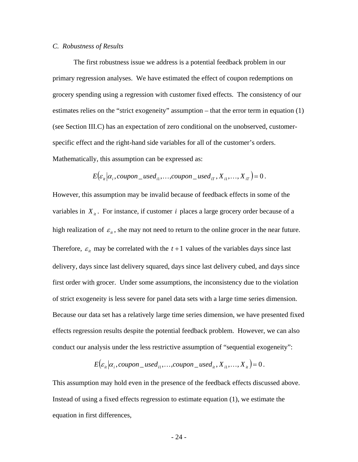## *C. Robustness of Results*

 The first robustness issue we address is a potential feedback problem in our primary regression analyses. We have estimated the effect of coupon redemptions on grocery spending using a regression with customer fixed effects. The consistency of our estimates relies on the "strict exogeneity" assumption – that the error term in equation (1) (see Section III.C) has an expectation of zero conditional on the unobserved, customerspecific effect and the right-hand side variables for all of the customer's orders. Mathematically, this assumption can be expressed as:

$$
E\big(\varepsilon_{ii}|\alpha_i, \text{cupon\_used}_{i1}, \dots, \text{cupon\_used}_{iT}, X_{i1}, \dots, X_{iT}\big) = 0.
$$

However, this assumption may be invalid because of feedback effects in some of the variables in  $X_{ii}$ . For instance, if customer *i* places a large grocery order because of a high realization of  $\varepsilon_{it}$ , she may not need to return to the online grocer in the near future. Therefore,  $\varepsilon$ <sub>*it*</sub> may be correlated with the  $t + 1$  values of the variables days since last delivery, days since last delivery squared, days since last delivery cubed, and days since first order with grocer. Under some assumptions, the inconsistency due to the violation of strict exogeneity is less severe for panel data sets with a large time series dimension. Because our data set has a relatively large time series dimension, we have presented fixed effects regression results despite the potential feedback problem. However, we can also conduct our analysis under the less restrictive assumption of "sequential exogeneity":

 $E(\varepsilon_{ii} | \alpha_i, \text{coupon\_used}_{i1}, \dots, \text{coupon\_used}_{i}, X_{i1}, \dots, X_{i} = 0.$ 

This assumption may hold even in the presence of the feedback effects discussed above. Instead of using a fixed effects regression to estimate equation (1), we estimate the equation in first differences,

- 24 -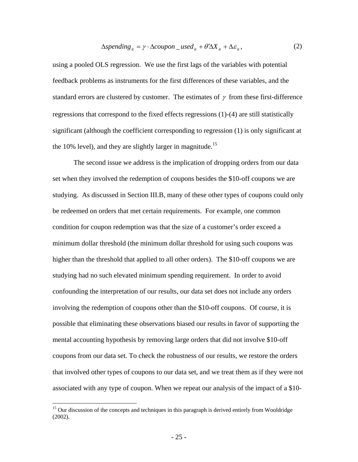$$
\Delta spending_{it} = \gamma \cdot \Delta coupon\_used_{it} + \theta' \Delta X_{it} + \Delta \varepsilon_{it},\tag{2}
$$

using a pooled OLS regression. We use the first lags of the variables with potential feedback problems as instruments for the first differences of these variables, and the standard errors are clustered by customer. The estimates of  $\gamma$  from these first-difference regressions that correspond to the fixed effects regressions (1)-(4) are still statistically significant (although the coefficient corresponding to regression (1) is only significant at the 10% level), and they are slightly larger in magnitude.<sup>15</sup>

 The second issue we address is the implication of dropping orders from our data set when they involved the redemption of coupons besides the \$10-off coupons we are studying. As discussed in Section III.B, many of these other types of coupons could only be redeemed on orders that met certain requirements. For example, one common condition for coupon redemption was that the size of a customer's order exceed a minimum dollar threshold (the minimum dollar threshold for using such coupons was higher than the threshold that applied to all other orders). The \$10-off coupons we are studying had no such elevated minimum spending requirement. In order to avoid confounding the interpretation of our results, our data set does not include any orders involving the redemption of coupons other than the \$10-off coupons. Of course, it is possible that eliminating these observations biased our results in favor of supporting the mental accounting hypothesis by removing large orders that did not involve \$10-off coupons from our data set. To check the robustness of our results, we restore the orders that involved other types of coupons to our data set, and we treat them as if they were not associated with any type of coupon. When we repeat our analysis of the impact of a \$10-

 $\overline{a}$ 

<sup>&</sup>lt;sup>15</sup> Our discussion of the concepts and techniques in this paragraph is derived entirely from Wooldridge (2002).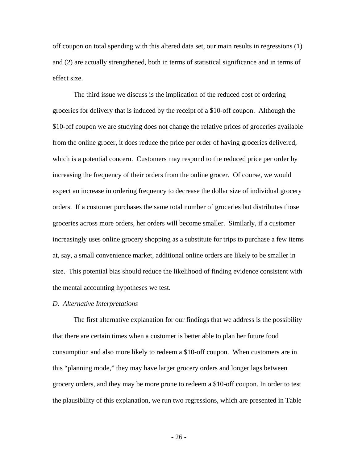off coupon on total spending with this altered data set, our main results in regressions (1) and (2) are actually strengthened, both in terms of statistical significance and in terms of effect size.

 The third issue we discuss is the implication of the reduced cost of ordering groceries for delivery that is induced by the receipt of a \$10-off coupon. Although the \$10-off coupon we are studying does not change the relative prices of groceries available from the online grocer, it does reduce the price per order of having groceries delivered, which is a potential concern. Customers may respond to the reduced price per order by increasing the frequency of their orders from the online grocer. Of course, we would expect an increase in ordering frequency to decrease the dollar size of individual grocery orders. If a customer purchases the same total number of groceries but distributes those groceries across more orders, her orders will become smaller. Similarly, if a customer increasingly uses online grocery shopping as a substitute for trips to purchase a few items at, say, a small convenience market, additional online orders are likely to be smaller in size. This potential bias should reduce the likelihood of finding evidence consistent with the mental accounting hypotheses we test.

#### *D. Alternative Interpretations*

 The first alternative explanation for our findings that we address is the possibility that there are certain times when a customer is better able to plan her future food consumption and also more likely to redeem a \$10-off coupon. When customers are in this "planning mode," they may have larger grocery orders and longer lags between grocery orders, and they may be more prone to redeem a \$10-off coupon. In order to test the plausibility of this explanation, we run two regressions, which are presented in Table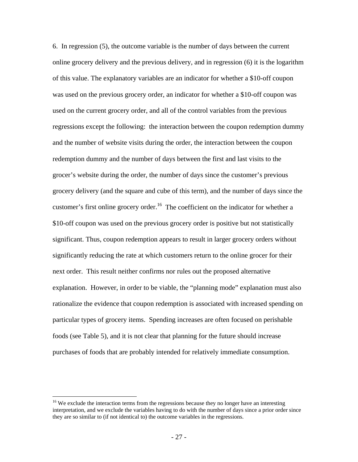6. In regression (5), the outcome variable is the number of days between the current online grocery delivery and the previous delivery, and in regression (6) it is the logarithm of this value. The explanatory variables are an indicator for whether a \$10-off coupon was used on the previous grocery order, an indicator for whether a \$10-off coupon was used on the current grocery order, and all of the control variables from the previous regressions except the following: the interaction between the coupon redemption dummy and the number of website visits during the order, the interaction between the coupon redemption dummy and the number of days between the first and last visits to the grocer's website during the order, the number of days since the customer's previous grocery delivery (and the square and cube of this term), and the number of days since the customer's first online grocery order.<sup>16</sup> The coefficient on the indicator for whether a \$10-off coupon was used on the previous grocery order is positive but not statistically significant. Thus, coupon redemption appears to result in larger grocery orders without significantly reducing the rate at which customers return to the online grocer for their next order. This result neither confirms nor rules out the proposed alternative explanation. However, in order to be viable, the "planning mode" explanation must also rationalize the evidence that coupon redemption is associated with increased spending on particular types of grocery items. Spending increases are often focused on perishable foods (see Table 5), and it is not clear that planning for the future should increase purchases of foods that are probably intended for relatively immediate consumption.

 $\overline{a}$ 

<sup>&</sup>lt;sup>16</sup> We exclude the interaction terms from the regressions because they no longer have an interesting interpretation, and we exclude the variables having to do with the number of days since a prior order since they are so similar to (if not identical to) the outcome variables in the regressions.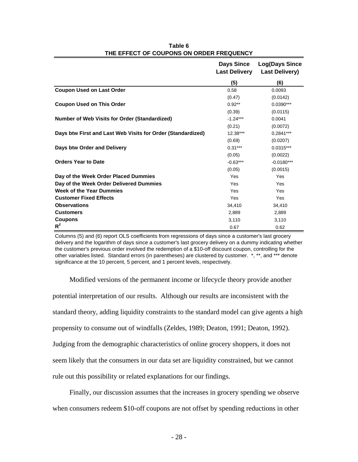|                                                             | <b>Days Since</b><br><b>Last Delivery</b> | <b>Log(Days Since</b><br><b>Last Delivery)</b> |
|-------------------------------------------------------------|-------------------------------------------|------------------------------------------------|
|                                                             | (5)                                       | (6)                                            |
| <b>Coupon Used on Last Order</b>                            | 0.58                                      | 0.0093                                         |
|                                                             | (0.47)                                    | (0.0142)                                       |
| <b>Coupon Used on This Order</b>                            | $0.92**$                                  | $0.0390***$                                    |
|                                                             | (0.39)                                    | (0.0115)                                       |
| <b>Number of Web Visits for Order (Standardized)</b>        | $-1.24***$                                | 0.0041                                         |
|                                                             | (0.21)                                    | (0.0072)                                       |
| Days btw First and Last Web Visits for Order (Standardized) | $12.38***$                                | $0.2841***$                                    |
|                                                             | (0.69)                                    | (0.0207)                                       |
| Days btw Order and Delivery                                 | $0.31***$                                 | $0.0315***$                                    |
|                                                             | (0.05)                                    | (0.0022)                                       |
| <b>Orders Year to Date</b>                                  | $-0.63***$                                | $-0.0180***$                                   |
|                                                             | (0.05)                                    | (0.0015)                                       |
| Day of the Week Order Placed Dummies                        | Yes                                       | Yes                                            |
| Day of the Week Order Delivered Dummies                     | Yes                                       | Yes                                            |
| Week of the Year Dummies                                    | Yes                                       | Yes                                            |
| <b>Customer Fixed Effects</b>                               | Yes                                       | Yes                                            |
| <b>Observations</b>                                         | 34,410                                    | 34,410                                         |
| <b>Customers</b>                                            | 2.889                                     | 2,889                                          |
| <b>Coupons</b>                                              | 3,110                                     | 3,110                                          |
| $R^2$                                                       | 0.67                                      | 0.62                                           |

**THE EFFECT OF COUPONS ON ORDER FREQUENCY Table 6**

Columns (5) and (6) report OLS coefficients from regressions of days since a customer's last grocery delivery and the logarithm of days since a customer's last grocery delivery on a dummy indicating whether the customer's previous order involved the redemption of a \$10-off discount coupon, controlling for the other variables listed. Standard errors (in parentheses) are clustered by customer. \*, \*\*, and \*\*\* denote significance at the 10 percent, 5 percent, and 1 percent levels, respectively.

Modified versions of the permanent income or lifecycle theory provide another potential interpretation of our results. Although our results are inconsistent with the standard theory, adding liquidity constraints to the standard model can give agents a high propensity to consume out of windfalls (Zeldes, 1989; Deaton, 1991; Deaton, 1992). Judging from the demographic characteristics of online grocery shoppers, it does not seem likely that the consumers in our data set are liquidity constrained, but we cannot rule out this possibility or related explanations for our findings.

Finally, our discussion assumes that the increases in grocery spending we observe when consumers redeem \$10-off coupons are not offset by spending reductions in other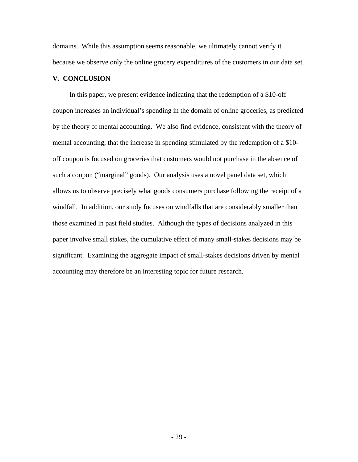domains. While this assumption seems reasonable, we ultimately cannot verify it because we observe only the online grocery expenditures of the customers in our data set.

# **V. CONCLUSION**

In this paper, we present evidence indicating that the redemption of a \$10-off coupon increases an individual's spending in the domain of online groceries, as predicted by the theory of mental accounting. We also find evidence, consistent with the theory of mental accounting, that the increase in spending stimulated by the redemption of a \$10 off coupon is focused on groceries that customers would not purchase in the absence of such a coupon ("marginal" goods). Our analysis uses a novel panel data set, which allows us to observe precisely what goods consumers purchase following the receipt of a windfall. In addition, our study focuses on windfalls that are considerably smaller than those examined in past field studies. Although the types of decisions analyzed in this paper involve small stakes, the cumulative effect of many small-stakes decisions may be significant. Examining the aggregate impact of small-stakes decisions driven by mental accounting may therefore be an interesting topic for future research.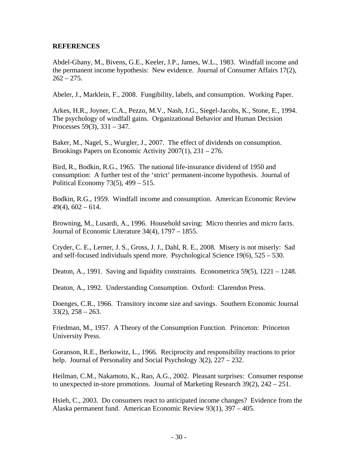# **REFERENCES**

Abdel-Ghany, M., Bivens, G.E., Keeler, J.P., James, W.L., 1983. Windfall income and the permanent income hypothesis: New evidence. Journal of Consumer Affairs 17(2),  $262 - 275.$ 

Abeler, J., Marklein, F., 2008. Fungibility, labels, and consumption. Working Paper.

Arkes, H.R., Joyner, C.A., Pezzo, M.V., Nash, J.G., Siegel-Jacobs, K., Stone, E., 1994. The psychology of windfall gains. Organizational Behavior and Human Decision Processes 59(3), 331 – 347.

Baker, M., Nagel, S., Wurgler, J., 2007. The effect of dividends on consumption. Brookings Papers on Economic Activity 2007(1), 231 – 276.

Bird, R., Bodkin, R.G., 1965. The national life-insurance dividend of 1950 and consumption: A further test of the 'strict' permanent-income hypothesis. Journal of Political Economy 73(5), 499 – 515.

Bodkin, R.G., 1959. Windfall income and consumption. American Economic Review  $49(4)$ ,  $602 - 614$ .

Browning, M., Lusardi, A., 1996. Household saving: Micro theories and micro facts. Journal of Economic Literature 34(4), 1797 – 1855.

Cryder, C. E., Lerner, J. S., Gross, J. J., Dahl, R. E., 2008. Misery is not miserly: Sad and self-focused individuals spend more. Psychological Science 19(6), 525 – 530.

Deaton, A., 1991. Saving and liquidity constraints. Econometrica 59(5), 1221 – 1248.

Deaton, A., 1992. Understanding Consumption. Oxford: Clarendon Press.

Doenges, C.R., 1966. Transitory income size and savings. Southern Economic Journal  $33(2)$ ,  $258 - 263$ .

Friedman, M., 1957. A Theory of the Consumption Function. Princeton: Princeton University Press.

Goranson, R.E., Berkowitz, L., 1966. Reciprocity and responsibility reactions to prior help. Journal of Personality and Social Psychology 3(2), 227 – 232.

Heilman, C.M., Nakamoto, K., Rao, A.G., 2002. Pleasant surprises: Consumer response to unexpected in-store promotions. Journal of Marketing Research 39(2), 242 – 251.

Hsieh, C., 2003. Do consumers react to anticipated income changes? Evidence from the Alaska permanent fund. American Economic Review 93(1), 397 – 405.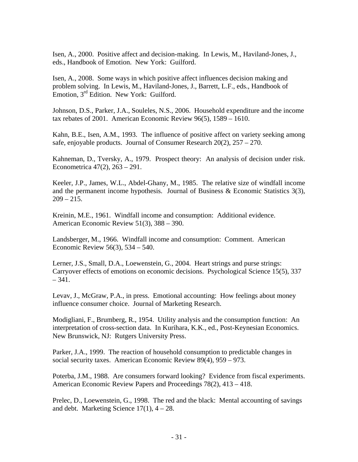Isen, A., 2000. Positive affect and decision-making. In Lewis, M., Haviland-Jones, J., eds., Handbook of Emotion. New York: Guilford.

Isen, A., 2008. Some ways in which positive affect influences decision making and problem solving. In Lewis, M., Haviland-Jones, J., Barrett, L.F., eds., Handbook of Emotion, 3<sup>rd</sup> Edition. New York: Guilford.

Johnson, D.S., Parker, J.A., Souleles, N.S., 2006. Household expenditure and the income tax rebates of 2001. American Economic Review 96(5), 1589 – 1610.

Kahn, B.E., Isen, A.M., 1993. The influence of positive affect on variety seeking among safe, enjoyable products. Journal of Consumer Research 20(2), 257 – 270.

Kahneman, D., Tversky, A., 1979. Prospect theory: An analysis of decision under risk. Econometrica 47(2), 263 – 291.

Keeler, J.P., James, W.L., Abdel-Ghany, M., 1985. The relative size of windfall income and the permanent income hypothesis. Journal of Business & Economic Statistics 3(3),  $209 - 215$ .

Kreinin, M.E., 1961. Windfall income and consumption: Additional evidence. American Economic Review 51(3), 388 – 390.

Landsberger, M., 1966. Windfall income and consumption: Comment. American Economic Review 56(3), 534 – 540.

Lerner, J.S., Small, D.A., Loewenstein, G., 2004. Heart strings and purse strings: Carryover effects of emotions on economic decisions. Psychological Science 15(5), 337  $-341.$ 

Levav, J., McGraw, P.A., in press. Emotional accounting: How feelings about money influence consumer choice. Journal of Marketing Research.

Modigliani, F., Brumberg, R., 1954. Utility analysis and the consumption function: An interpretation of cross-section data. In Kurihara, K.K., ed., Post-Keynesian Economics. New Brunswick, NJ: Rutgers University Press.

Parker, J.A., 1999. The reaction of household consumption to predictable changes in social security taxes. American Economic Review 89(4), 959 – 973.

Poterba, J.M., 1988. Are consumers forward looking? Evidence from fiscal experiments. American Economic Review Papers and Proceedings 78(2), 413 – 418.

Prelec, D., Loewenstein, G., 1998. The red and the black: Mental accounting of savings and debt. Marketing Science  $17(1)$ ,  $4 - 28$ .